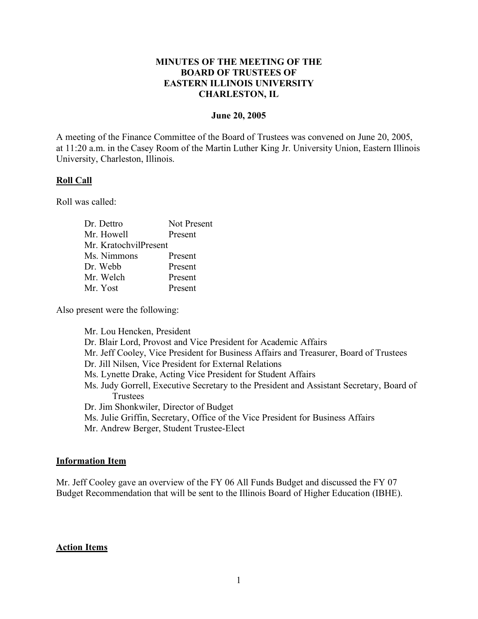## **MINUTES OF THE MEETING OF THE BOARD OF TRUSTEES OF EASTERN ILLINOIS UNIVERSITY CHARLESTON, IL**

#### **June 20, 2005**

A meeting of the Finance Committee of the Board of Trustees was convened on June 20, 2005, at 11:20 a.m. in the Casey Room of the Martin Luther King Jr. University Union, Eastern Illinois University, Charleston, Illinois.

### **Roll Call**

Roll was called:

| Dr. Dettro            | Not Present |
|-----------------------|-------------|
| Mr. Howell            | Present     |
| Mr. KratochvilPresent |             |
| Ms. Nimmons           | Present     |
| Dr. Webb              | Present     |
| Mr. Welch             | Present     |
| Mr. Yost              | Present     |

Also present were the following:

Mr. Lou Hencken, President Dr. Blair Lord, Provost and Vice President for Academic Affairs Mr. Jeff Cooley, Vice President for Business Affairs and Treasurer, Board of Trustees Dr. Jill Nilsen, Vice President for External Relations Ms. Lynette Drake, Acting Vice President for Student Affairs Ms. Judy Gorrell, Executive Secretary to the President and Assistant Secretary, Board of Trustees Dr. Jim Shonkwiler, Director of Budget Ms. Julie Griffin, Secretary, Office of the Vice President for Business Affairs Mr. Andrew Berger, Student Trustee-Elect

### **Information Item**

Mr. Jeff Cooley gave an overview of the FY 06 All Funds Budget and discussed the FY 07 Budget Recommendation that will be sent to the Illinois Board of Higher Education (IBHE).

#### **Action Items**